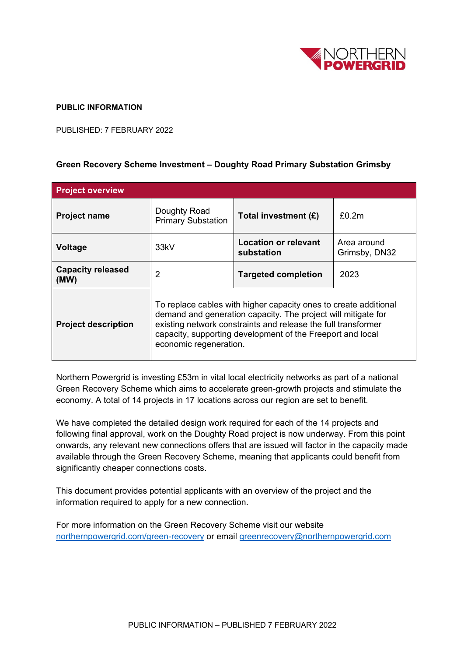

## **PUBLIC INFORMATION**

PUBLISHED: 7 FEBRUARY 2022

## **Green Recovery Scheme Investment – Doughty Road Primary Substation Grimsby**

| <b>Project overview</b>          |                                                                                                                                                                                                                                                                                            |                                    |                              |
|----------------------------------|--------------------------------------------------------------------------------------------------------------------------------------------------------------------------------------------------------------------------------------------------------------------------------------------|------------------------------------|------------------------------|
| <b>Project name</b>              | Doughty Road<br><b>Primary Substation</b>                                                                                                                                                                                                                                                  | Total investment (£)               | £0.2m                        |
| Voltage                          | 33 <sub>kV</sub>                                                                                                                                                                                                                                                                           | Location or relevant<br>substation | Area around<br>Grimsby, DN32 |
| <b>Capacity released</b><br>(MW) | 2                                                                                                                                                                                                                                                                                          | <b>Targeted completion</b>         | 2023                         |
| <b>Project description</b>       | To replace cables with higher capacity ones to create additional<br>demand and generation capacity. The project will mitigate for<br>existing network constraints and release the full transformer<br>capacity, supporting development of the Freeport and local<br>economic regeneration. |                                    |                              |

Northern Powergrid is investing £53m in vital local electricity networks as part of a national Green Recovery Scheme which aims to accelerate green-growth projects and stimulate the economy. A total of 14 projects in 17 locations across our region are set to benefit.

We have completed the detailed design work required for each of the 14 projects and following final approval, work on the Doughty Road project is now underway. From this point onwards, any relevant new connections offers that are issued will factor in the capacity made available through the Green Recovery Scheme, meaning that applicants could benefit from significantly cheaper connections costs.

This document provides potential applicants with an overview of the project and the information required to apply for a new connection.

For more information on the Green Recovery Scheme visit our website [northernpowergrid.com/green-recovery](mailto:northernpowergrid.com/green-recovery) or email [greenrecovery@northernpowergrid.com](mailto:greenrecovery@northernpowergrid.com)